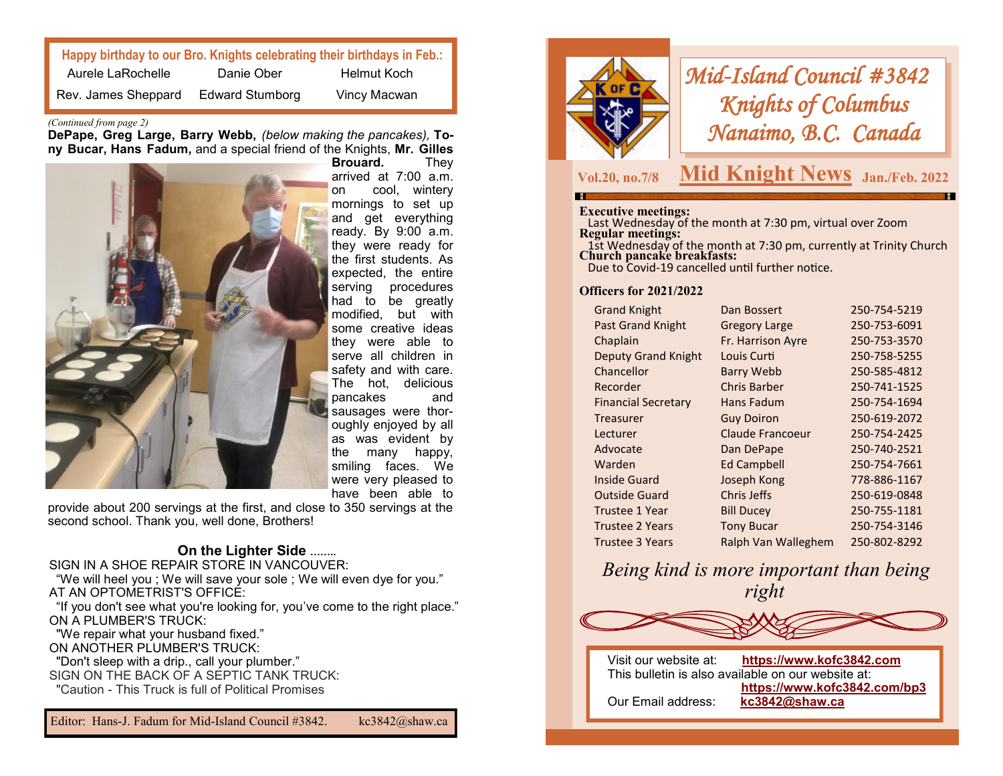| Happy birthday to our Bro. Knights celebrating their birthdays in Feb.: |                        |              |  |
|-------------------------------------------------------------------------|------------------------|--------------|--|
| Aurele LaRochelle                                                       | Danie Ober             | Helmut Koch  |  |
| Rev. James Sheppard                                                     | <b>Edward Stumborg</b> | Vincy Macwan |  |

#### *(Continued from page 2)*

**DePape, Greg Large, Barry Webb,** *(below making the pancakes),* **Tony Bucar, Hans Fadum,** and a special friend of the Knights, **Mr. Gilles** 



**Brouard.** They arrived at 7:00 a.m. on cool, wintery mornings to set up and get everything ready. By 9:00 a.m. they were ready for the first students. As expected, the entire serving procedures had to be greatly modified, but with some creative ideas they were able to serve all children in safety and with care. The hot, delicious pancakes and sausages were thoroughly enjoyed by all as was evident by the many happy, smiling faces. We were very pleased to have been able to

provide about 200 servings at the first, and close to 350 servings at the second school. Thank you, well done, Brothers!

## **On the Lighter Side ……..**

SIGN IN A SHOE REPAIR STORE IN VANCOUVER:

 "We will heel you ; We will save your sole ; We will even dye for you." AT AN OPTOMETRIST'S OFFICE:

 "If you don't see what you're looking for, you've come to the right place." ON A PLUMBER'S TRUCK:

 "We repair what your husband fixed." ON ANOTHER PLUMBER'S TRUCK: "Don't sleep with a drip., call your plumber." SIGN ON THE BACK OF A SEPTIC TANK TRUCK.

"Caution - This Truck is full of Political Promises

Editor: Hans-J. Fadum for Mid-Island Council #3842. kc3842@shaw.ca



*Mid-Island Council #3842 Knights of Columbus Nanaimo, B.C. Canada* 

**Vol.20, no.7/8**

## **Mid Knight News** Jan./Feb. 2022

#### **Executive meetings:**

 Last Wednesday of the month at 7:30 pm, virtual over Zoom **Regular meetings:** 

 1st Wednesday of the month at 7:30 pm, currently at Trinity Church **Church pancake breakfasts:**

Due to Covid-19 cancelled until further notice.

## **Officers for 2021/2022**

| Dan Bossert             | 250-754-5219 |
|-------------------------|--------------|
| <b>Gregory Large</b>    | 250-753-6091 |
| Fr. Harrison Ayre       | 250-753-3570 |
| Louis Curti             | 250-758-5255 |
| <b>Barry Webb</b>       | 250-585-4812 |
| <b>Chris Barber</b>     | 250-741-1525 |
| <b>Hans Fadum</b>       | 250-754-1694 |
| <b>Guy Doiron</b>       | 250-619-2072 |
| <b>Claude Francoeur</b> | 250-754-2425 |
| Dan DePape              | 250-740-2521 |
| <b>Ed Campbell</b>      | 250-754-7661 |
| Joseph Kong             | 778-886-1167 |
| Chris Jeffs             | 250-619-0848 |
| <b>Bill Ducey</b>       | 250-755-1181 |
| <b>Tony Bucar</b>       | 250-754-3146 |
| Ralph Van Walleghem     | 250-802-8292 |
|                         |              |

*Being kind is more important than being right*